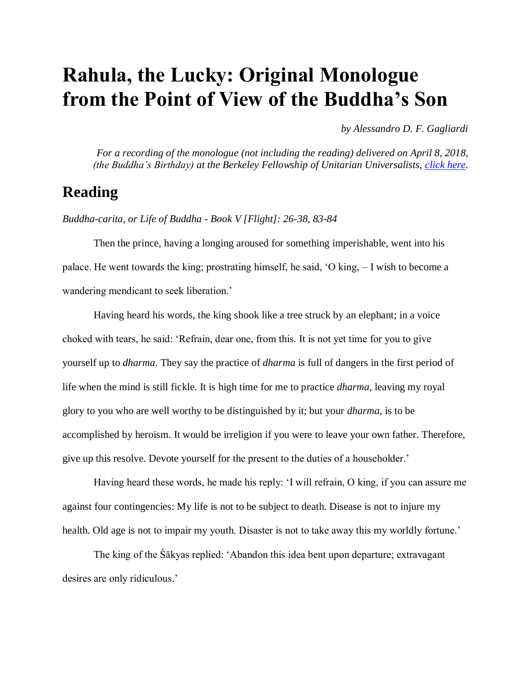## **Rahula, the Lucky: Original Monologue from the Point of View of the Buddha's Son**

*by Alessandro D. F. Gagliardi*

*For a recording of the monologue (not including the reading) delivered on April 8, 2018, (the Buddha's Birthday) at the Berkeley Fellowship of Unitarian Universalists, [click here.](http://bfuu.org/images/audio/180408.mp3)*

## **Reading**

*Buddha-carita, or Life of Buddha - Book V [Flight]: 26-38, 83-84*

Then the prince, having a longing aroused for something imperishable, went into his palace. He went towards the king; prostrating himself, he said, 'O king, – I wish to become a wandering mendicant to seek liberation.'

Having heard his words, the king shook like a tree struck by an elephant; in a voice choked with tears, he said: 'Refrain, dear one, from this. It is not yet time for you to give yourself up to *dharma*. They say the practice of *dharma* is full of dangers in the first period of life when the mind is still fickle. It is high time for me to practice *dharma*, leaving my royal glory to you who are well worthy to be distinguished by it; but your *dharma*, is to be accomplished by heroism. It would be irreligion if you were to leave your own father. Therefore, give up this resolve. Devote yourself for the present to the duties of a householder.'

Having heard these words, he made his reply: 'I will refrain, O king, if you can assure me against four contingencies: My life is not to be subject to death. Disease is not to injure my health. Old age is not to impair my youth. Disaster is not to take away this my worldly fortune.'

The king of the Śākyas replied: 'Abandon this idea bent upon departure; extravagant desires are only ridiculous.'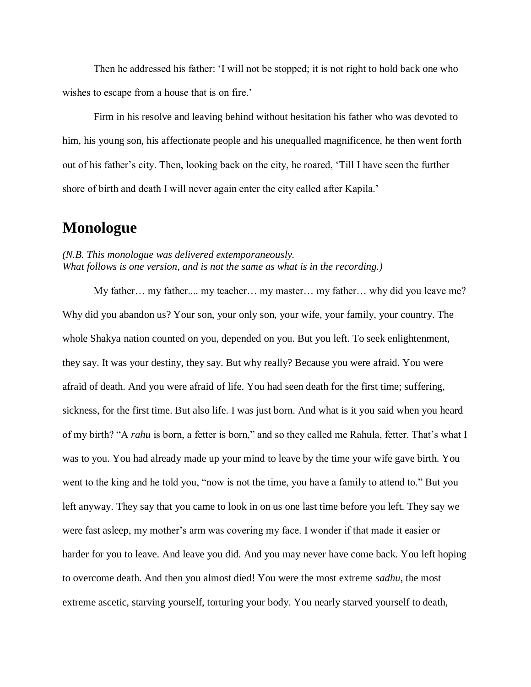Then he addressed his father: 'I will not be stopped; it is not right to hold back one who wishes to escape from a house that is on fire.'

Firm in his resolve and leaving behind without hesitation his father who was devoted to him, his young son, his affectionate people and his unequalled magnificence, he then went forth out of his father's city. Then, looking back on the city, he roared, 'Till I have seen the further shore of birth and death I will never again enter the city called after Kapila.'

## **Monologue**

## *(N.B. This monologue was delivered extemporaneously. What follows is one version, and is not the same as what is in the recording.)*

My father… my father.... my teacher… my master… my father… why did you leave me? Why did you abandon us? Your son, your only son, your wife, your family, your country. The whole Shakya nation counted on you, depended on you. But you left. To seek enlightenment, they say. It was your destiny, they say. But why really? Because you were afraid. You were afraid of death. And you were afraid of life. You had seen death for the first time; suffering, sickness, for the first time. But also life. I was just born. And what is it you said when you heard of my birth? "A *rahu* is born, a fetter is born," and so they called me Rahula, fetter. That's what I was to you. You had already made up your mind to leave by the time your wife gave birth. You went to the king and he told you, "now is not the time, you have a family to attend to." But you left anyway. They say that you came to look in on us one last time before you left. They say we were fast asleep, my mother's arm was covering my face. I wonder if that made it easier or harder for you to leave. And leave you did. And you may never have come back. You left hoping to overcome death. And then you almost died! You were the most extreme *sadhu*, the most extreme ascetic, starving yourself, torturing your body. You nearly starved yourself to death,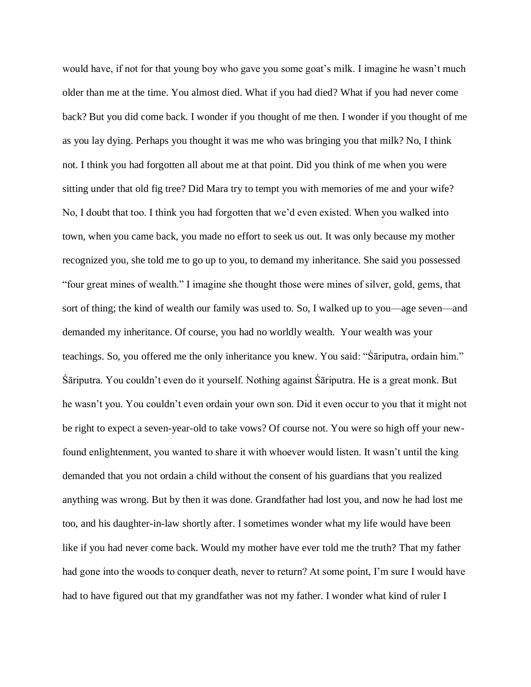would have, if not for that young boy who gave you some goat's milk. I imagine he wasn't much older than me at the time. You almost died. What if you had died? What if you had never come back? But you did come back. I wonder if you thought of me then. I wonder if you thought of me as you lay dying. Perhaps you thought it was me who was bringing you that milk? No, I think not. I think you had forgotten all about me at that point. Did you think of me when you were sitting under that old fig tree? Did Mara try to tempt you with memories of me and your wife? No, I doubt that too. I think you had forgotten that we'd even existed. When you walked into town, when you came back, you made no effort to seek us out. It was only because my mother recognized you, she told me to go up to you, to demand my inheritance. She said you possessed "four great mines of wealth." I imagine she thought those were mines of silver, gold, gems, that sort of thing; the kind of wealth our family was used to. So, I walked up to you—age seven—and demanded my inheritance. Of course, you had no worldly wealth. Your wealth was your teachings. So, you offered me the only inheritance you knew. You said: "Śāriputra, ordain him." Śāriputra. You couldn't even do it yourself. Nothing against Śāriputra. He is a great monk. But he wasn't you. You couldn't even ordain your own son. Did it even occur to you that it might not be right to expect a seven-year-old to take vows? Of course not. You were so high off your newfound enlightenment, you wanted to share it with whoever would listen. It wasn't until the king demanded that you not ordain a child without the consent of his guardians that you realized anything was wrong. But by then it was done. Grandfather had lost you, and now he had lost me too, and his daughter-in-law shortly after. I sometimes wonder what my life would have been like if you had never come back. Would my mother have ever told me the truth? That my father had gone into the woods to conquer death, never to return? At some point, I'm sure I would have had to have figured out that my grandfather was not my father. I wonder what kind of ruler I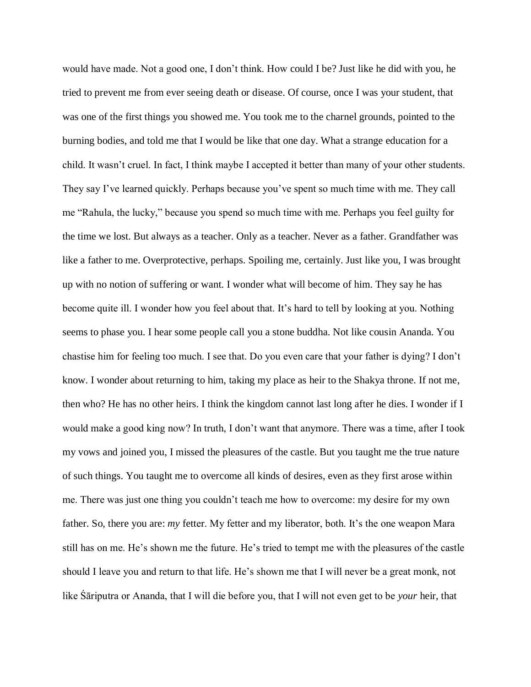would have made. Not a good one, I don't think. How could I be? Just like he did with you, he tried to prevent me from ever seeing death or disease. Of course, once I was your student, that was one of the first things you showed me. You took me to the charnel grounds, pointed to the burning bodies, and told me that I would be like that one day. What a strange education for a child. It wasn't cruel. In fact, I think maybe I accepted it better than many of your other students. They say I've learned quickly. Perhaps because you've spent so much time with me. They call me "Rahula, the lucky," because you spend so much time with me. Perhaps you feel guilty for the time we lost. But always as a teacher. Only as a teacher. Never as a father. Grandfather was like a father to me. Overprotective, perhaps. Spoiling me, certainly. Just like you, I was brought up with no notion of suffering or want. I wonder what will become of him. They say he has become quite ill. I wonder how you feel about that. It's hard to tell by looking at you. Nothing seems to phase you. I hear some people call you a stone buddha. Not like cousin Ananda. You chastise him for feeling too much. I see that. Do you even care that your father is dying? I don't know. I wonder about returning to him, taking my place as heir to the Shakya throne. If not me, then who? He has no other heirs. I think the kingdom cannot last long after he dies. I wonder if I would make a good king now? In truth, I don't want that anymore. There was a time, after I took my vows and joined you, I missed the pleasures of the castle. But you taught me the true nature of such things. You taught me to overcome all kinds of desires, even as they first arose within me. There was just one thing you couldn't teach me how to overcome: my desire for my own father. So, there you are: *my* fetter. My fetter and my liberator, both. It's the one weapon Mara still has on me. He's shown me the future. He's tried to tempt me with the pleasures of the castle should I leave you and return to that life. He's shown me that I will never be a great monk, not like Śāriputra or Ananda, that I will die before you, that I will not even get to be *your* heir, that